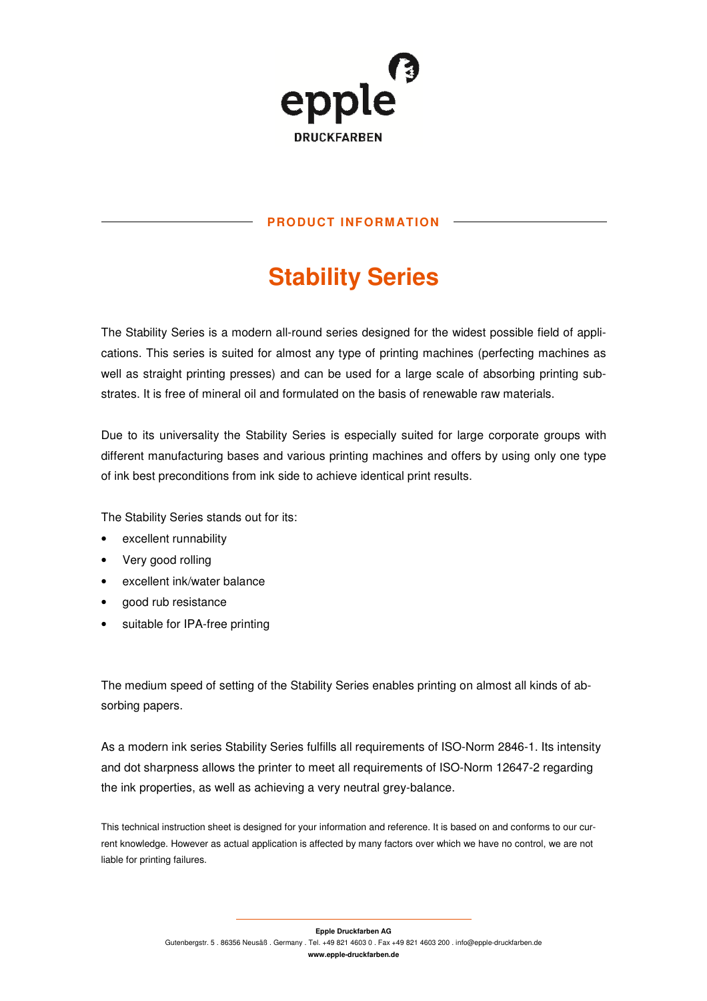

## **PRODUCT INFORM ATION**

# **Stability Series**

The Stability Series is a modern all-round series designed for the widest possible field of applications. This series is suited for almost any type of printing machines (perfecting machines as well as straight printing presses) and can be used for a large scale of absorbing printing substrates. It is free of mineral oil and formulated on the basis of renewable raw materials.

Due to its universality the Stability Series is especially suited for large corporate groups with different manufacturing bases and various printing machines and offers by using only one type of ink best preconditions from ink side to achieve identical print results.

The Stability Series stands out for its:

- excellent runnability
- Very good rolling
- excellent ink/water balance
- good rub resistance
- suitable for IPA-free printing

The medium speed of setting of the Stability Series enables printing on almost all kinds of absorbing papers.

As a modern ink series Stability Series fulfills all requirements of ISO-Norm 2846-1. Its intensity and dot sharpness allows the printer to meet all requirements of ISO-Norm 12647-2 regarding the ink properties, as well as achieving a very neutral grey-balance.

This technical instruction sheet is designed for your information and reference. It is based on and conforms to our current knowledge. However as actual application is affected by many factors over which we have no control, we are not liable for printing failures.